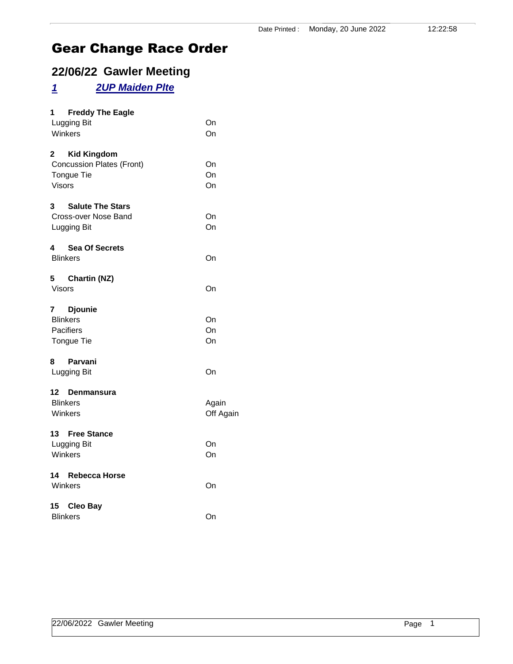### **22/06/22 Gawler Meeting**

## *1 2UP Maiden Plte*

| $1 \quad$<br><b>Freddy The Eagle</b>   |           |
|----------------------------------------|-----------|
| Lugging Bit                            | On        |
| Winkers                                | On        |
| <b>Kid Kingdom</b><br>2                |           |
| <b>Concussion Plates (Front)</b>       | On        |
| Tongue Tie                             | On        |
| <b>Visors</b>                          | On        |
| $3^{\circ}$<br><b>Salute The Stars</b> |           |
| Cross-over Nose Band                   | On        |
| Lugging Bit                            | On        |
|                                        |           |
| 4 Sea Of Secrets<br><b>Blinkers</b>    | On        |
|                                        |           |
| 5 Chartin (NZ)                         |           |
| <b>Visors</b>                          | On        |
| 7 Djounie                              |           |
| <b>Blinkers</b>                        | On        |
| <b>Pacifiers</b>                       | On        |
| Tongue Tie                             | On        |
|                                        |           |
| 8<br>Parvani                           |           |
| Lugging Bit                            | On        |
| 12 Denmansura                          |           |
| <b>Blinkers</b>                        | Again     |
| Winkers                                | Off Again |
|                                        |           |
| 13 Free Stance                         |           |
| Lugging Bit<br>Winkers                 | On<br>On  |
|                                        |           |
| 14 Rebecca Horse                       |           |
| Winkers                                | On        |
| 15 Cleo Bay                            |           |
| <b>Blinkers</b>                        | On        |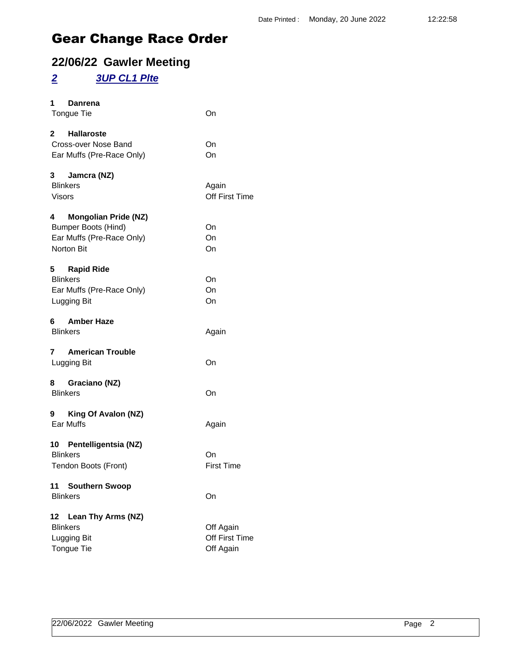### **22/06/22 Gawler Meeting**

#### *2 3UP CL1 Plte*

| 1<br>Danrena<br><b>Tongue Tie</b>                                                                      | On                                       |
|--------------------------------------------------------------------------------------------------------|------------------------------------------|
| 2 Hallaroste<br>Cross-over Nose Band<br>Ear Muffs (Pre-Race Only)                                      | On<br>On                                 |
| 3 Jamcra (NZ)<br><b>Blinkers</b><br><b>Visors</b>                                                      | Again<br>Off First Time                  |
| 4 Mongolian Pride (NZ)<br><b>Bumper Boots (Hind)</b><br>Ear Muffs (Pre-Race Only)<br><b>Norton Bit</b> | On<br>On<br>On                           |
| 5 Rapid Ride<br><b>Blinkers</b><br>Ear Muffs (Pre-Race Only)<br>Lugging Bit                            | On<br>On<br>On                           |
| 6 Amber Haze<br><b>Blinkers</b>                                                                        | Again                                    |
| 7 American Trouble<br>Lugging Bit                                                                      | On                                       |
| 8 Graciano (NZ)<br><b>Blinkers</b>                                                                     | On                                       |
| 9 King Of Avalon (NZ)<br><b>Ear Muffs</b>                                                              | Again                                    |
| 10 Pentelligentsia (NZ)<br><b>Blinkers</b><br>Tendon Boots (Front)                                     | On<br><b>First Time</b>                  |
| 11<br><b>Southern Swoop</b><br><b>Blinkers</b>                                                         | On                                       |
| Lean Thy Arms (NZ)<br>12<br><b>Blinkers</b><br>Lugging Bit<br>Tongue Tie                               | Off Again<br>Off First Time<br>Off Again |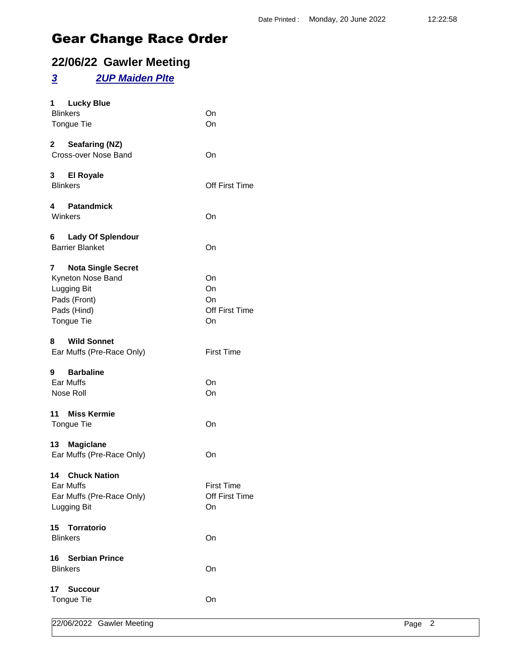### **22/06/22 Gawler Meeting**

#### *3 2UP Maiden Plte*

| 1<br><b>Lucky Blue</b><br><b>Blinkers</b><br>Tongue Tie                                                         | On<br>On                                  |
|-----------------------------------------------------------------------------------------------------------------|-------------------------------------------|
| 2 Seafaring (NZ)<br>Cross-over Nose Band                                                                        | On                                        |
| 3 El Royale<br><b>Blinkers</b>                                                                                  | <b>Off First Time</b>                     |
| 4 Patandmick<br>Winkers                                                                                         | On                                        |
| Lady Of Splendour<br>6.<br><b>Barrier Blanket</b>                                                               | On                                        |
| <b>Nota Single Secret</b><br>7<br>Kyneton Nose Band<br>Lugging Bit<br>Pads (Front)<br>Pads (Hind)<br>Tongue Tie | On<br>On<br>On<br>Off First Time<br>On    |
| <b>Wild Sonnet</b><br>8<br>Ear Muffs (Pre-Race Only)                                                            | <b>First Time</b>                         |
| <b>Barbaline</b><br>9<br>Ear Muffs<br>Nose Roll                                                                 | On<br>On                                  |
| 11 Miss Kermie<br>Tongue Tie                                                                                    | On                                        |
| 13 Magiclane<br>Ear Muffs (Pre-Race Only)                                                                       | On                                        |
| 14 Chuck Nation<br>Ear Muffs<br>Ear Muffs (Pre-Race Only)<br>Lugging Bit                                        | <b>First Time</b><br>Off First Time<br>On |
| 15<br><b>Torratorio</b><br><b>Blinkers</b>                                                                      | On                                        |
| <b>Serbian Prince</b><br>16<br><b>Blinkers</b>                                                                  | On                                        |
| 17<br><b>Succour</b><br>Tongue Tie                                                                              | On                                        |
|                                                                                                                 |                                           |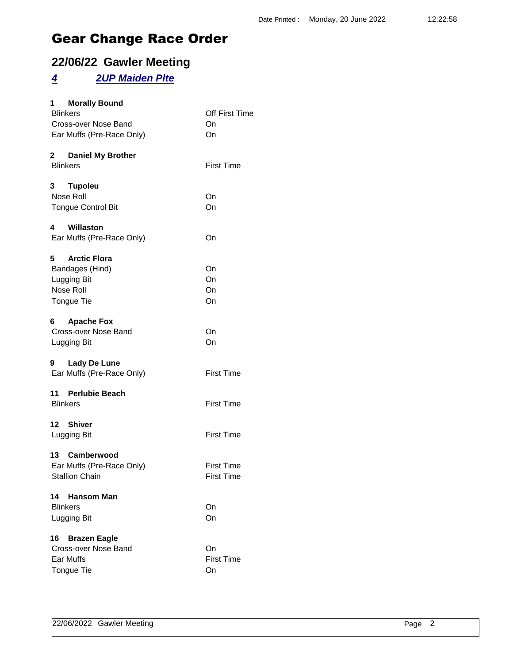### **22/06/22 Gawler Meeting**

#### *4 2UP Maiden Plte*

| <b>Morally Bound</b><br>1.              | Off First Time    |
|-----------------------------------------|-------------------|
| <b>Blinkers</b><br>Cross-over Nose Band | On                |
| Ear Muffs (Pre-Race Only)               | On                |
|                                         |                   |
| 2 Daniel My Brother                     |                   |
| <b>Blinkers</b>                         | <b>First Time</b> |
| 3<br><b>Tupoleu</b>                     |                   |
| Nose Roll                               | On                |
| <b>Tongue Control Bit</b>               | On                |
| 4 Willaston                             |                   |
| Ear Muffs (Pre-Race Only)               | On                |
| 5 Arctic Flora                          |                   |
| Bandages (Hind)                         | On                |
| Lugging Bit                             | On                |
| Nose Roll                               | On                |
| Tongue Tie                              | On                |
| 6 Apache Fox                            |                   |
| Cross-over Nose Band                    | On                |
| Lugging Bit                             | On                |
| 9 Lady De Lune                          |                   |
| Ear Muffs (Pre-Race Only)               | <b>First Time</b> |
| 11 Perlubie Beach                       |                   |
| <b>Blinkers</b>                         | <b>First Time</b> |
| 12 Shiver                               |                   |
| Lugging Bit                             | <b>First Time</b> |
| 13 Camberwood                           |                   |
| Ear Muffs (Pre-Race Only)               | <b>First Time</b> |
| <b>Stallion Chain</b>                   | <b>First Time</b> |
| 14<br><b>Hansom Man</b>                 |                   |
| <b>Blinkers</b>                         | On                |
| Lugging Bit                             | On                |
| 16 Brazen Eagle                         |                   |
| Cross-over Nose Band                    | On                |
| Ear Muffs                               | <b>First Time</b> |
| Tongue Tie                              | On                |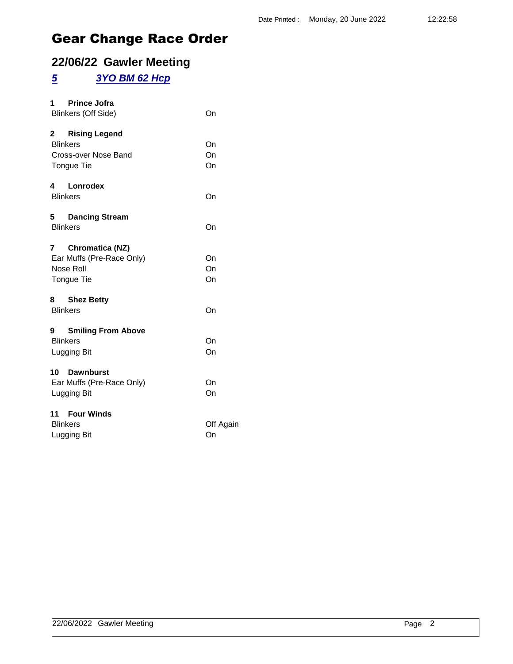### **22/06/22 Gawler Meeting**

#### *5 3YO BM 62 Hcp*

| <b>Prince Jofra</b><br>1.<br>Blinkers (Off Side)                                            | On              |
|---------------------------------------------------------------------------------------------|-----------------|
| <b>Rising Legend</b><br>$2^{\sim}$<br><b>Blinkers</b><br>Cross-over Nose Band<br>Tongue Tie | On<br>On<br>On  |
| 4 Lonrodex<br><b>Blinkers</b>                                                               | On              |
| 5 Dancing Stream<br><b>Blinkers</b>                                                         | On              |
| 7 Chromatica (NZ)<br>Ear Muffs (Pre-Race Only)<br>Nose Roll<br>Tongue Tie                   | On<br>On<br>On  |
| 8 Shez Betty<br><b>Blinkers</b>                                                             | On              |
| 9 Smiling From Above<br><b>Blinkers</b><br>Lugging Bit                                      | On<br>On        |
| 10 Dawnburst<br>Ear Muffs (Pre-Race Only)<br>Lugging Bit                                    | On<br>On        |
| 11 Four Winds<br><b>Blinkers</b><br>Lugging Bit                                             | Off Again<br>On |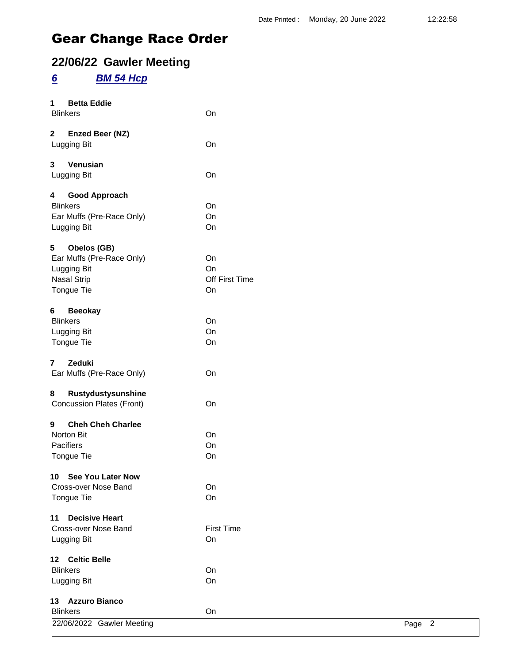### **22/06/22 Gawler Meeting**

### *6 BM 54 Hcp*

| 1                       | <b>Betta Eddie</b><br><b>Blinkers</b> | On                |        |
|-------------------------|---------------------------------------|-------------------|--------|
| $\overline{\mathbf{2}}$ |                                       |                   |        |
|                         | Enzed Beer (NZ)<br>Lugging Bit        | On                |        |
| 3                       | Venusian                              |                   |        |
|                         | Lugging Bit                           | On                |        |
| 4                       | <b>Good Approach</b>                  |                   |        |
|                         | <b>Blinkers</b>                       | On                |        |
|                         | Ear Muffs (Pre-Race Only)             | On                |        |
|                         | Lugging Bit                           | On                |        |
| 5                       | Obelos (GB)                           |                   |        |
|                         | Ear Muffs (Pre-Race Only)             | On                |        |
|                         | Lugging Bit                           | On                |        |
|                         | <b>Nasal Strip</b>                    | Off First Time    |        |
|                         | Tongue Tie                            | On                |        |
| 6                       | <b>Beeokay</b>                        |                   |        |
|                         | <b>Blinkers</b>                       | On                |        |
|                         | Lugging Bit                           | On                |        |
|                         | Tongue Tie                            | On                |        |
| $\overline{7}$          | Zeduki                                |                   |        |
|                         | Ear Muffs (Pre-Race Only)             | On                |        |
| 8                       | Rustydustysunshine                    |                   |        |
|                         | <b>Concussion Plates (Front)</b>      | On                |        |
| 9                       | <b>Cheh Cheh Charlee</b>              |                   |        |
|                         | Norton Bit                            | On                |        |
|                         | Pacifiers                             | On                |        |
|                         | Tongue Tie                            | On                |        |
|                         | 10 See You Later Now                  |                   |        |
|                         | Cross-over Nose Band                  | On                |        |
|                         | Tongue Tie                            | On                |        |
| 11                      | <b>Decisive Heart</b>                 |                   |        |
|                         | Cross-over Nose Band                  | <b>First Time</b> |        |
|                         | Lugging Bit                           | On                |        |
|                         | 12 Celtic Belle                       |                   |        |
|                         | <b>Blinkers</b>                       | On                |        |
|                         | Lugging Bit                           | On                |        |
|                         | 13 Azzuro Bianco                      |                   |        |
|                         | <b>Blinkers</b>                       | On                |        |
|                         | 22/06/2022 Gawler Meeting             |                   | Page 2 |
|                         |                                       |                   |        |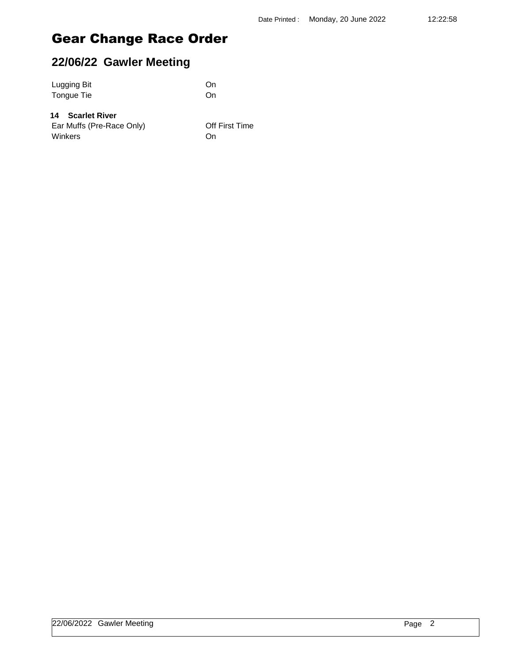### **22/06/22 Gawler Meeting**

| Lugging Bit | On |
|-------------|----|
| Tongue Tie  | On |

#### **14 Scarlet River**

Ear Muffs (Pre-Race Only) **Off First Time** Winkers **On**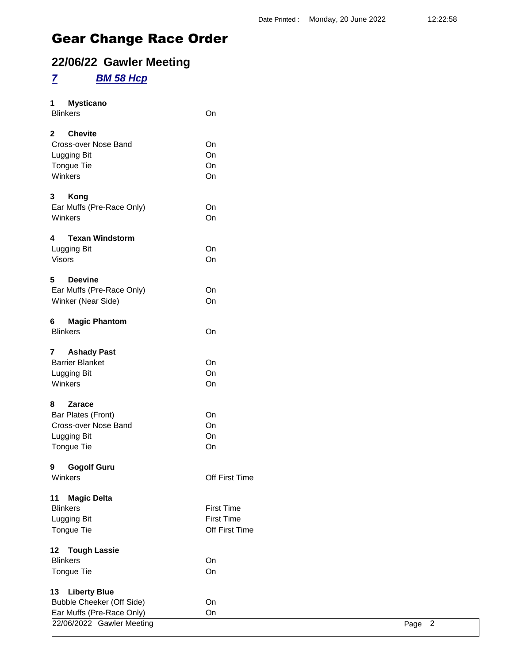### **22/06/22 Gawler Meeting**

#### *7 BM 58 Hcp*

| 1<br><b>Mysticano</b><br><b>Blinkers</b>                                                         | On                                                       |
|--------------------------------------------------------------------------------------------------|----------------------------------------------------------|
| <b>Chevite</b><br>$\mathbf{2}^-$<br>Cross-over Nose Band<br>Lugging Bit<br>Tongue Tie<br>Winkers | On<br>On<br>On<br>On                                     |
| 3<br>Kong<br>Ear Muffs (Pre-Race Only)<br>Winkers                                                | On<br>On                                                 |
| <b>Texan Windstorm</b><br>4<br>Lugging Bit<br><b>Visors</b>                                      | On<br>On                                                 |
| 5<br>Deevine<br>Ear Muffs (Pre-Race Only)<br>Winker (Near Side)                                  | On<br>On                                                 |
| 6<br><b>Magic Phantom</b><br><b>Blinkers</b>                                                     | On                                                       |
| $\overline{7}$<br><b>Ashady Past</b><br><b>Barrier Blanket</b><br>Lugging Bit<br>Winkers         | On<br>On<br>On                                           |
| 8<br><b>Zarace</b><br>Bar Plates (Front)<br>Cross-over Nose Band<br>Lugging Bit<br>Tongue Tie    | On<br>On<br>On<br>On                                     |
| 9<br><b>Gogolf Guru</b><br>Winkers                                                               | Off First Time                                           |
| <b>Magic Delta</b><br>11<br><b>Blinkers</b><br>Lugging Bit<br>Tongue Tie                         | <b>First Time</b><br><b>First Time</b><br>Off First Time |
| <b>Tough Lassie</b><br>12.<br><b>Blinkers</b><br><b>Tongue Tie</b>                               | On<br>On                                                 |
| <b>Liberty Blue</b><br>13<br><b>Bubble Cheeker (Off Side)</b><br>Ear Muffs (Pre-Race Only)       | On<br>On                                                 |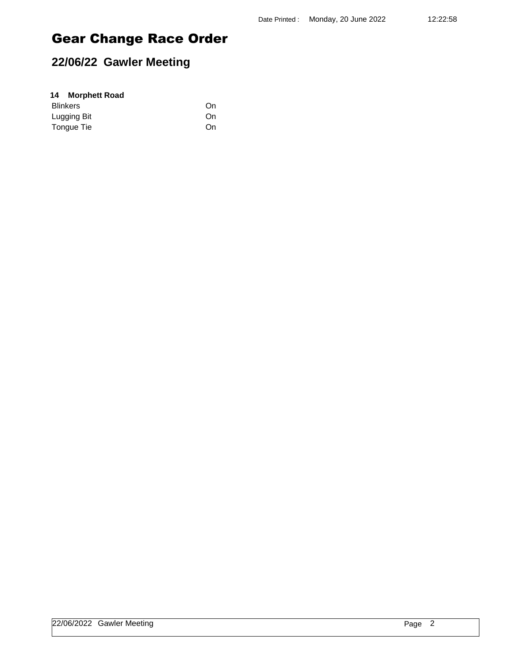## **22/06/22 Gawler Meeting**

| 14 Morphett Road |    |
|------------------|----|
| <b>Blinkers</b>  | On |
| Lugging Bit      | On |
| Tongue Tie       | On |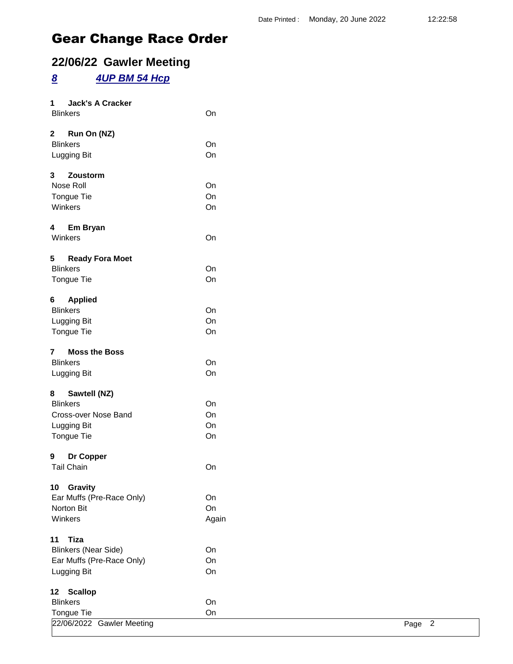### **22/06/22 Gawler Meeting**

### *8 4UP BM 54 Hcp*

| <b>Jack's A Cracker</b><br>1           |       |                        |
|----------------------------------------|-------|------------------------|
| <b>Blinkers</b>                        | On    |                        |
| $2^{\circ}$<br>Run On (NZ)             |       |                        |
| <b>Blinkers</b>                        | On    |                        |
| Lugging Bit                            | On    |                        |
| $\mathbf{3}$<br>Zoustorm               |       |                        |
| Nose Roll                              | On    |                        |
| Tongue Tie                             | On    |                        |
| Winkers                                | On    |                        |
| 4 Em Bryan                             |       |                        |
| Winkers                                | On    |                        |
| 5<br><b>Ready Fora Moet</b>            |       |                        |
| <b>Blinkers</b>                        | On    |                        |
| Tongue Tie                             | On    |                        |
| <b>Applied</b><br>6                    |       |                        |
| <b>Blinkers</b>                        | On    |                        |
| Lugging Bit                            | On    |                        |
| Tongue Tie                             | On    |                        |
| <b>Moss the Boss</b><br>$\overline{7}$ |       |                        |
| <b>Blinkers</b>                        | On    |                        |
| Lugging Bit                            | On    |                        |
| Sawtell (NZ)<br>8                      |       |                        |
| <b>Blinkers</b>                        | On    |                        |
| Cross-over Nose Band                   | On    |                        |
| Lugging Bit                            | On    |                        |
| Tongue Tie                             | On    |                        |
| Dr Copper<br>9                         |       |                        |
| <b>Tail Chain</b>                      | On    |                        |
| Gravity<br>10                          |       |                        |
| Ear Muffs (Pre-Race Only)              | On    |                        |
| Norton Bit                             | On    |                        |
| Winkers                                | Again |                        |
| <b>Tiza</b><br>11                      |       |                        |
| <b>Blinkers (Near Side)</b>            | On    |                        |
| Ear Muffs (Pre-Race Only)              | On    |                        |
| Lugging Bit                            | On    |                        |
| <b>Scallop</b><br>12 <sub>2</sub>      |       |                        |
| <b>Blinkers</b>                        | On    |                        |
| Tongue Tie                             | On    |                        |
| 22/06/2022 Gawler Meeting              |       | $\overline{2}$<br>Page |